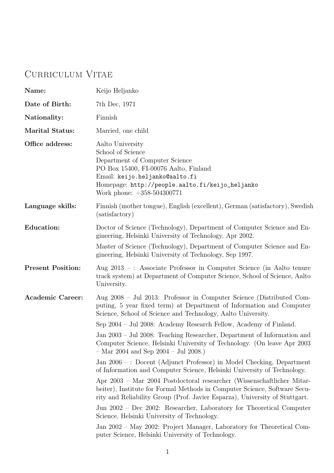# Curriculum Vitae

| Name:                    | Keijo Heljanko                                                                                                                                                                                                                                                         |
|--------------------------|------------------------------------------------------------------------------------------------------------------------------------------------------------------------------------------------------------------------------------------------------------------------|
| Date of Birth:           | 7th Dec, 1971                                                                                                                                                                                                                                                          |
| Nationality:             | Finnish                                                                                                                                                                                                                                                                |
| <b>Marital Status:</b>   | Married, one child                                                                                                                                                                                                                                                     |
| Office address:          | Aalto University<br>School of Science<br>Department of Computer Science<br>PO Box 15400, FI-00076 Aalto, Finland<br>Email: keijo.heljanko@aalto.fi<br>Homepage: http://people.aalto.fi/keijo_heljanko<br>Work phone: $+358-504300771$                                  |
| Language skills:         | Finnish (mother tongue), English (excellent), German (satisfactory), Swedish<br>(satisfactory)                                                                                                                                                                         |
| <b>Education:</b>        | Doctor of Science (Technology), Department of Computer Science and En-<br>gineering, Helsinki University of Technology, Apr 2002.<br>Master of Science (Technology), Department of Computer Science and En-<br>gineering, Helsinki University of Technology, Sep 1997. |
| <b>Present Position:</b> | Aug 2013 - : Associate Professor in Computer Science (in Aalto tenure<br>track system) at Department of Computer Science, School of Science, Aalto<br>University.                                                                                                      |
| <b>Academic Career:</b>  | Aug 2008 - Jul 2013: Professor in Computer Science (Distributed Com-<br>puting, 5 year fixed term) at Department of Information and Computer<br>Science, School of Science and Technology, Aalto University.                                                           |
|                          | Sep 2004 – Jul 2008: Academy Research Fellow, Academy of Finland.                                                                                                                                                                                                      |
|                          | Jan 2003 – Jul 2008: Teaching Researcher, Department of Information and<br>Computer Science, Helsinki University of Technology. (On leave Apr 2003)<br>$-$ Mar 2004 and Sep 2004 $-$ Jul 2008.)                                                                        |
|                          | Jan 2006 -: Docent (Adjunct Professor) in Model Checking, Department<br>of Information and Computer Science, Helsinki University of Technology.                                                                                                                        |
|                          | Apr 2003 – Mar 2004 Postdoctoral researcher (Wissenschaftlicher Mitar-<br>beiter), Institute for Formal Methods in Computer Science, Software Secu-<br>rity and Reliability Group (Prof. Javier Esparza), University of Stuttgart.                                     |
|                          | Jun 2002 – Dec 2002: Researcher, Laboratory for Theoretical Computer<br>Science, Helsinki University of Technology.                                                                                                                                                    |
|                          |                                                                                                                                                                                                                                                                        |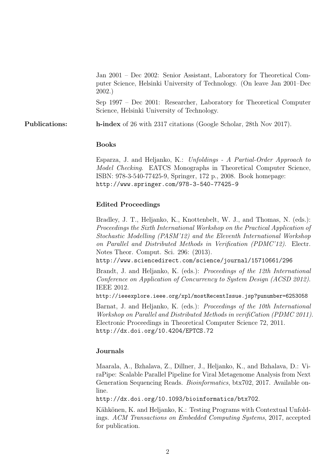Jan 2001 – Dec 2002: Senior Assistant, Laboratory for Theoretical Computer Science, Helsinki University of Technology. (On leave Jan 2001–Dec 2002.)

Sep 1997 – Dec 2001: Researcher, Laboratory for Theoretical Computer Science, Helsinki University of Technology.

Publications: h-index of 26 with 2317 citations (Google Scholar, 28th Nov 2017).

#### Books

Esparza, J. and Heljanko, K.: Unfoldings - A Partial-Order Approach to Model Checking. EATCS Monographs in Theoretical Computer Science, ISBN: 978-3-540-77425-9, Springer, 172 p., 2008. Book homepage: http://www.springer.com/978-3-540-77425-9

### Edited Proceedings

Bradley, J. T., Heljanko, K., Knottenbelt, W. J., and Thomas, N. (eds.): Proceedings the Sixth International Workshop on the Practical Application of Stochastic Modelling (PASM'12) and the Eleventh International Workshop on Parallel and Distributed Methods in Verification (PDMC'12). Electr. Notes Theor. Comput. Sci. 296: (2013).

http://www.sciencedirect.com/science/journal/15710661/296

Brandt, J. and Heljanko, K. (eds.): Proceedings of the 12th International Conference on Application of Concurrency to System Design (ACSD 2012). IEEE 2012.

http://ieeexplore.ieee.org/xpl/mostRecentIssue.jsp?punumber=6253058

Barnat, J. and Heljanko, K. (eds.): Proceedings of the 10th International Workshop on Parallel and Distributed Methods in verifiCation (PDMC 2011). Electronic Proceedings in Theoretical Computer Science 72, 2011. http://dx.doi.org/10.4204/EPTCS.72

#### Journals

Maarala, A., Bzhalava, Z., Dillner, J., Heljanko, K., and Bzhalava, D.: ViraPipe: Scalable Parallel Pipeline for Viral Metagenome Analysis from Next Generation Sequencing Reads. Bioinformatics, btx702, 2017. Available online.

http://dx.doi.org/10.1093/bioinformatics/btx702.

Kähkönen, K. and Heljanko, K.: Testing Programs with Contextual Unfoldings. ACM Transactions on Embedded Computing Systems, 2017, accepted for publication.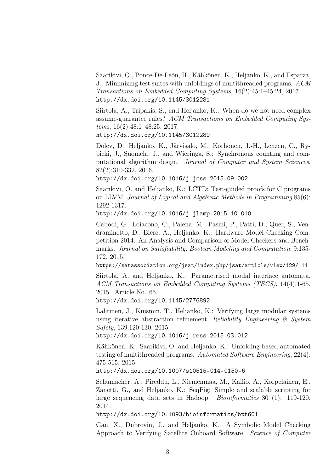Saarikivi, O., Ponce-De-León, H., Kähkönen, K., Heljanko, K., and Esparza, J.: Minimizing test suites with unfoldings of multithreaded programs. ACM Transactions on Embedded Computing Systems, 16(2):45:1–45:24, 2017. http://dx.doi.org/10.1145/3012281

Siirtola, A., Tripakis, S., and Heljanko, K.: When do we not need complex assume-guarantee rules? ACM Transactions on Embedded Computing Systems, 16(2):48:1–48:25, 2017.

http://dx.doi.org/10.1145/3012280

Dolev, D., Heljanko, K., Järvisalo, M., Korhonen, J.-H., Lenzen, C., Rybicki, J., Suomela, J., and Wieringa, S.: Synchronous counting and computational algorithm design. Journal of Computer and System Sciences, 82(2):310-332, 2016.

http://dx.doi.org/10.1016/j.jcss.2015.09.002

Saarikivi, O. and Heljanko, K.: LCTD: Test-guided proofs for C programs on LLVM. Journal of Logical and Algebraic Methods in Programming 85(6): 1292-1317.

http://dx.doi.org/10.1016/j.jlamp.2015.10.010

Cabodi, G., Loiacono, C., Palena, M., Pasini, P., Patti, D., Quer, S., Vendraminetto, D., Biere, A., Heljanko, K.: Hardware Model Checking Competition 2014: An Analysis and Comparison of Model Checkers and Benchmarks. Journal on Satisfiability, Boolean Modeling and Computation, 9:135- 172, 2015.

https://satassociation.org/jsat/index.php/jsat/article/view/129/111

Siirtola, A. and Heljanko, K.: Parametrised modal interface automata. ACM Transactions on Embedded Computing Systems (TECS), 14(4):1-65, 2015. Article No. 65.

http://dx.doi.org/10.1145/2776892

Lahtinen, J., Kuismin, T., Heljanko, K.: Verifying large modular systems using iterative abstraction refinement, Reliability Engineering  $\mathcal{B}$  System Safety, 139:120-130, 2015.

http://dx.doi.org/10.1016/j.ress.2015.03.012

Kähkönen, K., Saarikivi, O. and Heljanko, K.: Unfolding based automated testing of multithreaded programs. Automated Software Engineering, 22(4): 475-515, 2015.

http://dx.doi.org/10.1007/s10515-014-0150-6

Schumacher, A., Pireddu, L., Niemenmaa, M., Kallio, A., Korpelainen, E., Zanetti, G., and Heljanko, K.: SeqPig: Simple and scalable scripting for large sequencing data sets in Hadoop. Bioinformatics 30 (1): 119-120, 2014.

http://dx.doi.org/10.1093/bioinformatics/btt601

Gan, X., Dubrovin, J., and Heljanko, K.: A Symbolic Model Checking Approach to Verifying Satellite Onboard Software. Science of Computer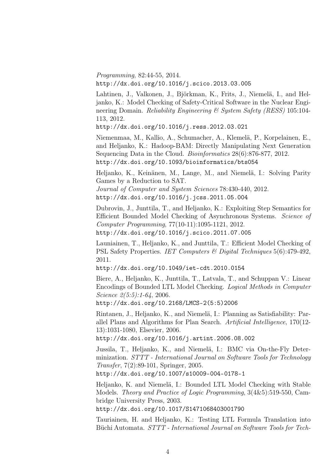Programming, 82:44-55, 2014. http://dx.doi.org/10.1016/j.scico.2013.03.005

Lahtinen, J., Valkonen, J., Björkman, K., Frits, J., Niemelä, I., and Heljanko, K.: Model Checking of Safety-Critical Software in the Nuclear Engineering Domain. Reliability Engineering & System Safety (RESS) 105:104-113, 2012.

http://dx.doi.org/10.1016/j.ress.2012.03.021

Niemenmaa, M., Kallio, A., Schumacher, A., Klemelä, P., Korpelainen, E., and Heljanko, K.: Hadoop-BAM: Directly Manipulating Next Generation Sequencing Data in the Cloud. *Bioinformatics* 28(6):876-877, 2012. http://dx.doi.org/10.1093/bioinformatics/bts054

Heljanko, K., Keinänen, M., Lange, M., and Niemelä, I.: Solving Parity Games by a Reduction to SAT.

Journal of Computer and System Sciences 78:430-440, 2012. http://dx.doi.org/10.1016/j.jcss.2011.05.004

Dubrovin, J., Junttila, T., and Heljanko, K.: Exploiting Step Semantics for Efficient Bounded Model Checking of Asynchronous Systems. Science of Computer Programming, 77(10-11):1095-1121, 2012. http://dx.doi.org/10.1016/j.scico.2011.07.005

Launiainen, T., Heljanko, K., and Junttila, T.: Efficient Model Checking of PSL Safety Properties. IET Computers & Digital Techniques 5(6):479-492, 2011.

http://dx.doi.org/10.1049/iet-cdt.2010.0154

Biere, A., Heljanko, K., Junttila, T., Latvala, T., and Schuppan V.: Linear Encodings of Bounded LTL Model Checking. Logical Methods in Computer Science 2(5:5):1-64, 2006.

http://dx.doi.org/10.2168/LMCS-2(5:5)2006

Rintanen, J., Heljanko, K., and Niemelä, I.: Planning as Satisfiability: Parallel Plans and Algorithms for Plan Search. Artificial Intelligence, 170(12- 13):1031-1080, Elsevier, 2006.

http://dx.doi.org/10.1016/j.artint.2006.08.002

Jussila, T., Heljanko, K., and Niemelä, I.: BMC via On-the-Fly Determinization. STTT - International Journal on Software Tools for Technology Transfer, 7(2):89-101, Springer, 2005.

http://dx.doi.org/10.1007/s10009-004-0178-1

Heljanko, K. and Niemelä, I.: Bounded LTL Model Checking with Stable Models. Theory and Practice of Logic Programming, 3(4&5):519-550, Cambridge University Press, 2003.

http://dx.doi.org/10.1017/S1471068403001790

Tauriainen, H. and Heljanko, K.: Testing LTL Formula Translation into Büchi Automata. STTT - International Journal on Software Tools for Tech-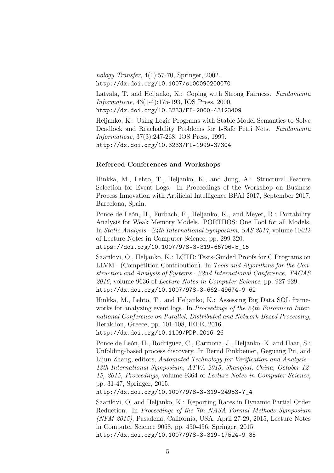nology Transfer, 4(1):57-70, Springer, 2002. http://dx.doi.org/10.1007/s100090200070

Latvala, T. and Heljanko, K.: Coping with Strong Fairness. Fundamenta Informaticae, 43(1-4):175-193, IOS Press, 2000. http://dx.doi.org/10.3233/FI-2000-43123409

Heljanko, K.: Using Logic Programs with Stable Model Semantics to Solve Deadlock and Reachability Problems for 1-Safe Petri Nets. Fundamenta Informaticae, 37(3):247-268, IOS Press, 1999. http://dx.doi.org/10.3233/FI-1999-37304

#### Refereed Conferences and Workshops

Hinkka, M., Lehto, T., Heljanko, K., and Jung, A.: Structural Feature Selection for Event Logs. In Proceedings of the Workshop on Business Process Innovation with Artificial Intelligence BPAI 2017, September 2017, Barcelona, Spain.

Ponce de León, H., Furbach, F., Heljanko, K., and Meyer, R.: Portability Analysis for Weak Memory Models. PORTHOS: One Tool for all Models. In Static Analysis - 24th International Symposium, SAS 2017, volume 10422 of Lecture Notes in Computer Science, pp. 299-320. https://doi.org/10.1007/978-3-319-66706-5\_15

Saarikivi, O., Heljanko, K.: LCTD: Tests-Guided Proofs for C Programs on LLVM - (Competition Contribution). In Tools and Algorithms for the Construction and Analysis of Systems - 22nd International Conference, TACAS 2016, volume 9636 of Lecture Notes in Computer Science, pp. 927-929. http://dx.doi.org/10.1007/978-3-662-49674-9\_62

Hinkka, M., Lehto, T., and Heljanko, K.: Assessing Big Data SQL frameworks for analyzing event logs. In *Proceedings of the 24th Euromicro Inter*national Conference on Parallel, Distributed and Network-Based Processing, Heraklion, Greece, pp. 101-108, IEEE, 2016.

http://dx.doi.org/10.1109/PDP.2016.26

Ponce de León, H., Rodríguez, C., Carmona, J., Heljanko, K. and Haar, S.: Unfolding-based process discovery. In Bernd Finkbeiner, Geguang Pu, and Lijun Zhang, editors, Automated Technology for Verification and Analysis - 13th International Symposium, ATVA 2015, Shanghai, China, October 12- 15, 2015, Proceedings, volume 9364 of Lecture Notes in Computer Science, pp. 31-47, Springer, 2015.

http://dx.doi.org/10.1007/978-3-319-24953-7\_4

Saarikivi, O. and Heljanko, K.: Reporting Races in Dynamic Partial Order Reduction. In Proceedings of the 7th NASA Formal Methods Symposium (NFM 2015), Pasadena, California, USA, April 27-29, 2015, Lecture Notes in Computer Science 9058, pp. 450-456, Springer, 2015. http://dx.doi.org/10.1007/978-3-319-17524-9\_35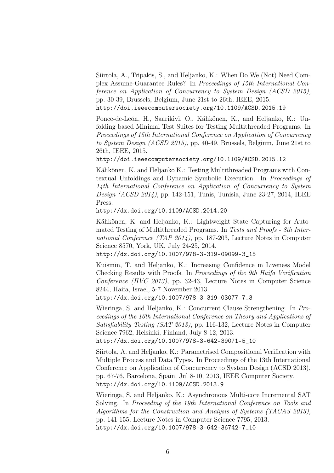Siirtola, A., Tripakis, S., and Heljanko, K.: When Do We (Not) Need Complex Assume-Guarantee Rules? In Proceedings of 15th International Conference on Application of Concurrency to System Design (ACSD 2015), pp. 30-39, Brussels, Belgium, June 21st to 26th, IEEE, 2015. http://doi.ieeecomputersociety.org/10.1109/ACSD.2015.19

Ponce-de-León, H., Saarikivi, O., Kähkönen, K., and Heljanko, K.: Unfolding based Minimal Test Suites for Testing Multithreaded Programs. In Proceedings of 15th International Conference on Application of Concurrency to System Design (ACSD 2015), pp. 40-49, Brussels, Belgium, June 21st to 26th, IEEE, 2015.

http://doi.ieeecomputersociety.org/10.1109/ACSD.2015.12

Kähkönen, K. and Heljanko K.: Testing Multithreaded Programs with Contextual Unfoldings and Dynamic Symbolic Execution. In Proceedings of 14th International Conference on Application of Concurrency to System Design (ACSD 2014), pp. 142-151, Tunis, Tunisia, June 23-27, 2014, IEEE Press.

http://dx.doi.org/10.1109/ACSD.2014.20

Kähkönen, K. and Heljanko, K.: Lightweight State Capturing for Automated Testing of Multithreaded Programs. In Tests and Proofs - 8th International Conference (TAP 2014), pp. 187-203, Lecture Notes in Computer Science 8570, York, UK, July 24-25, 2014.

http://dx.doi.org/10.1007/978-3-319-09099-3\_15

Kuismin, T. and Heljanko, K.: Increasing Confidence in Liveness Model Checking Results with Proofs. In Proceedings of the 9th Haifa Verification Conference (HVC 2013), pp. 32-43, Lecture Notes in Computer Science 8244, Haifa, Israel, 5-7 November 2013.

http://dx.doi.org/10.1007/978-3-319-03077-7\_3

Wieringa, S. and Heljanko, K.: Concurrent Clause Strengthening. In Proceedings of the 16th International Conference on Theory and Applications of Satisfiability Testing (SAT 2013), pp. 116-132, Lecture Notes in Computer Science 7962, Helsinki, Finland, July 8-12, 2013.

http://dx.doi.org/10.1007/978-3-642-39071-5\_10

Siirtola, A. and Heljanko, K.: Parametrised Compositional Verification with Multiple Process and Data Types. In Proceedings of the 13th International Conference on Application of Concurrency to System Design (ACSD 2013), pp. 67-76, Barcelona, Spain, Jul 8-10, 2013, IEEE Computer Society. http://dx.doi.org/10.1109/ACSD.2013.9

Wieringa, S. and Heljanko, K.: Asynchronous Multi-core Incremental SAT Solving. In Proceeding of the 19th International Conference on Tools and Algorithms for the Construction and Analysis of Systems (TACAS 2013), pp. 141-155, Lecture Notes in Computer Science 7795, 2013. http://dx.doi.org/10.1007/978-3-642-36742-7\_10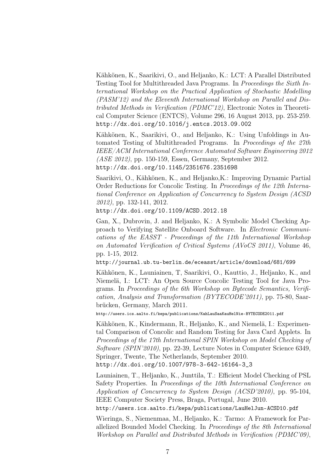Kähkönen, K., Saarikivi, O., and Heljanko, K.: LCT: A Parallel Distributed Testing Tool for Multithreaded Java Programs. In Proceedings the Sixth International Workshop on the Practical Application of Stochastic Modelling (PASM'12) and the Eleventh International Workshop on Parallel and Distributed Methods in Verification (PDMC'12), Electronic Notes in Theoretical Computer Science (ENTCS), Volume 296, 16 August 2013, pp. 253-259. http://dx.doi.org/10.1016/j.entcs.2013.09.002

Kähkönen, K., Saarikivi, O., and Heljanko, K.: Using Unfoldings in Automated Testing of Multithreaded Programs. In Proceedings of the 27th IEEE/ACM International Conference Automated Software Engineering 2012 (ASE 2012), pp. 150-159, Essen, Germany, September 2012. http://dx.doi.org/10.1145/2351676.2351698

Saarikivi, O., Kähkönen, K., and Heljanko,K.: Improving Dynamic Partial Order Reductions for Concolic Testing. In Proceedings of the 12th International Conference on Application of Concurrency to System Design (ACSD 2012), pp. 132-141, 2012.

http://dx.doi.org/10.1109/ACSD.2012.18

Gan, X., Dubrovin, J. and Heljanko, K.: A Symbolic Model Checking Approach to Verifying Satellite Onboard Software. In Electronic Communications of the EASST - Proceedings of the 11th International Workshop on Automated Verification of Critical Systems (AVoCS 2011), Volume 46, pp. 1-15, 2012.

http://journal.ub.tu-berlin.de/eceasst/article/download/681/699

Kähkönen, K., Launiainen, T, Saarikivi, O., Kauttio, J., Heljanko, K., and Niemelä, I.: LCT: An Open Source Concolic Testing Tool for Java Programs. In Proceedings of the 6th Workshop on Bytecode Semantics, Verification, Analysis and Transformation (BYTECODE'2011), pp. 75-80, Saarbrücken, Germany, March 2011.

http://users.ics.aalto.fi/kepa/publications/KahLauSaaKauHelNie-BYTECODE2011.pdf

Kähkönen, K., Kindermann, R., Heljanko, K., and Niemelä, I.: Experimental Comparison of Concolic and Random Testing for Java Card Applets. In Proceedings of the 17th International SPIN Workshop on Model Checking of Software (SPIN'2010), pp. 22-39, Lecture Notes in Computer Science 6349, Springer, Twente, The Netherlands, September 2010.

http://dx.doi.org/10.1007/978-3-642-16164-3\_3

Launiainen, T., Heljanko, K., Junttila, T.: Efficient Model Checking of PSL Safety Properties. In Proceedings of the 10th International Conference on Application of Concurrency to System Design (ACSD'2010), pp. 95-104, IEEE Computer Society Press, Braga, Portugal, June 2010. http://users.ics.aalto.fi/kepa/publications/LauHelJun-ACSD10.pdf

Wieringa, S., Niemenmaa, M., Heljanko, K.: Tarmo: A Framework for Parallelized Bounded Model Checking. In Proceedings of the 8th International

Workshop on Parallel and Distributed Methods in Verification (PDMC'09),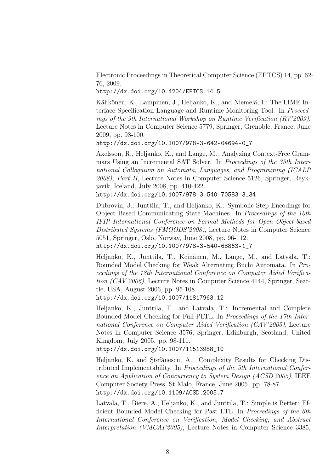Electronic Proceedings in Theoretical Computer Science (EPTCS) 14, pp. 62- 76, 2009.

http://dx.doi.org/10.4204/EPTCS.14.5

Kähkönen, K., Lampinen, J., Heljanko, K., and Niemelä, I.: The LIME Interface Specification Language and Runtime Monitoring Tool. In Proceedings of the 9th International Workshop on Runtime Verification (RV'2009), Lecture Notes in Computer Science 5779, Springer, Grenoble, France, June 2009, pp. 93-100.

http://dx.doi.org/10.1007/978-3-642-04694-0\_7

Axelsson, R., Heljanko, K., and Lange, M.: Analyzing Context-Free Grammars Using an Incremental SAT Solver. In Proceedings of the 35th International Colloquium on Automata, Languages, and Programming (ICALP 2008), Part II, Lecture Notes in Computer Science 5126, Springer, Reykjavik, Iceland, July 2008, pp. 410-422.

http://dx.doi.org/10.1007/978-3-540-70583-3\_34

Dubrovin, J., Junttila, T., and Heljanko, K.: Symbolic Step Encodings for Object Based Communicating State Machines. In Proceedings of the 10th IFIP International Conference on Formal Methods for Open Object-based Distributed Systems (FMOODS'2008), Lecture Notes in Computer Science 5051, Springer, Oslo, Norway, June 2008, pp. 96-112. http://dx.doi.org/10.1007/978-3-540-68863-1\_7

Heljanko, K., Junttila, T., Keinänen, M., Lange, M., and Latvala, T.: Bounded Model Checking for Weak Alternating Büchi Automata. In Proceedings of the 18th International Conference on Computer Aided Verification (CAV'2006), Lecture Notes in Computer Science 4144, Springer, Seattle, USA, August 2006, pp. 95-108.

http://dx.doi.org/10.1007/11817963\_12

Heljanko, K., Junttila, T., and Latvala, T.: Incremental and Complete Bounded Model Checking for Full PLTL. In Proceedings of the 17th International Conference on Computer Aided Verification (CAV'2005), Lecture Notes in Computer Science 3576, Springer, Edinburgh, Scotland, United Kingdom, July 2005. pp. 98-111.

http://dx.doi.org/10.1007/11513988\_10

Heljanko, K. and Ştefănescu, A.: Complexity Results for Checking Distributed Implementability. In Proceedings of the 5th International Conference on Application of Concurrency to System Design (ACSD'2005), IEEE Computer Society Press, St Malo, France, June 2005. pp. 78-87. http://dx.doi.org/10.1109/ACSD.2005.7

Latvala, T., Biere, A., Heljanko, K., and Junttila, T.: Simple is Better: Efficient Bounded Model Checking for Past LTL. In Proceedings of the 6th International Conference on Verification, Model Checking, and Abstract Interpretation (VMCAI'2005), Lecture Notes in Computer Science 3385,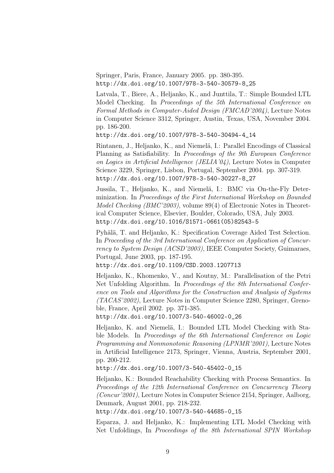Springer, Paris, France, January 2005. pp. 380-395. http://dx.doi.org/10.1007/978-3-540-30579-8\_25

Latvala, T., Biere, A., Heljanko, K., and Junttila, T.: Simple Bounded LTL Model Checking. In Proceedings of the 5th International Conference on Formal Methods in Computer-Aided Design (FMCAD'2004), Lecture Notes in Computer Science 3312, Springer, Austin, Texas, USA, November 2004. pp. 186-200.

http://dx.doi.org/10.1007/978-3-540-30494-4\_14

Rintanen, J., Heljanko, K., and Niemelä, I.: Parallel Encodings of Classical Planning as Satisfiability. In Proceedings of the 9th European Conference on Logics in Artificial Intelligence (JELIA'04), Lecture Notes in Computer Science 3229, Springer, Lisbon, Portugal, September 2004. pp. 307-319. http://dx.doi.org/10.1007/978-3-540-30227-8\_27

Jussila, T., Heljanko, K., and Niemelä, I.: BMC via On-the-Fly Determinization. In Proceedings of the First International Workshop on Bounded Model Checking (BMC'2003), volume 89(4) of Electronic Notes in Theoretical Computer Science, Elsevier, Boulder, Colorado, USA, July 2003. http://dx.doi.org/10.1016/S1571-0661(05)82543-5

Pyhälä, T. and Heljanko, K.: Specification Coverage Aided Test Selection. In Proceeding of the 3rd International Conference on Application of Concurrency to System Design (ACSD'2003), IEEE Computer Society, Guimaraes, Portugal, June 2003, pp. 187-195.

http://dx.doi.org/10.1109/CSD.2003.1207713

Heljanko, K., Khomenko, V., and Koutny, M.: Parallelisation of the Petri Net Unfolding Algorithm. In Proceedings of the 8th International Conference on Tools and Algorithms for the Construction and Analysis of Systems (TACAS'2002), Lecture Notes in Computer Science 2280, Springer, Grenoble, France, April 2002. pp. 371-385.

http://dx.doi.org/10.1007/3-540-46002-0\_26

Heljanko, K. and Niemelä, I.: Bounded LTL Model Checking with Stable Models. In Proceedings of the 6th International Conference on Logic Programming and Nonmonotonic Reasoning (LPNMR'2001), Lecture Notes in Artificial Intelligence 2173, Springer, Vienna, Austria, September 2001, pp. 200-212.

http://dx.doi.org/10.1007/3-540-45402-0\_15

Heljanko, K.: Bounded Reachability Checking with Process Semantics. In Proceedings of the 12th International Conference on Concurrency Theory (Concur'2001), Lecture Notes in Computer Science 2154, Springer, Aalborg, Denmark, August 2001, pp. 218-232.

http://dx.doi.org/10.1007/3-540-44685-0\_15

Esparza, J. and Heljanko, K.: Implementing LTL Model Checking with Net Unfoldings, In Proceedings of the 8th International SPIN Workshop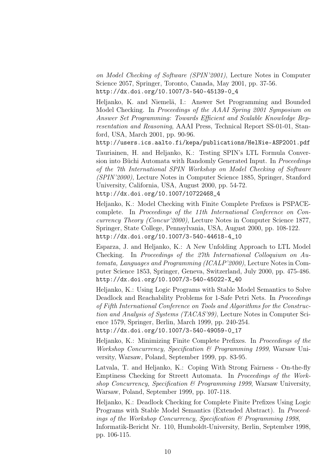on Model Checking of Software (SPIN'2001), Lecture Notes in Computer Science 2057, Springer, Toronto, Canada, May 2001, pp. 37-56. http://dx.doi.org/10.1007/3-540-45139-0\_4

Heljanko, K. and Niemelä, I.: Answer Set Programming and Bounded Model Checking. In Proceedings of the AAAI Spring 2001 Symposium on Answer Set Programming: Towards Efficient and Scalable Knowledge Representation and Reasoning, AAAI Press, Technical Report SS-01-01, Stanford, USA, March 2001, pp. 90-96.

http://users.ics.aalto.fi/kepa/publications/HelNie-ASP2001.pdf

Tauriainen, H. and Heljanko, K.: Testing SPIN's LTL Formula Conversion into Büchi Automata with Randomly Generated Input. In Proceedings of the 7th International SPIN Workshop on Model Checking of Software (SPIN'2000), Lecture Notes in Computer Science 1885, Springer, Stanford University, California, USA, August 2000, pp. 54-72.

http://dx.doi.org/10.1007/10722468\_4

Heljanko, K.: Model Checking with Finite Complete Prefixes is PSPACEcomplete. In Proceedings of the 11th International Conference on Concurrency Theory (Concur'2000), Lecture Notes in Computer Science 1877, Springer, State College, Pennsylvania, USA, August 2000, pp. 108-122. http://dx.doi.org/10.1007/3-540-44618-4\_10

Esparza, J. and Heljanko, K.: A New Unfolding Approach to LTL Model Checking. In Proceedings of the 27th International Colloquium on Automata, Languages and Programming (ICALP'2000), Lecture Notes in Computer Science 1853, Springer, Geneva, Switzerland, July 2000, pp. 475-486. http://dx.doi.org/10.1007/3-540-45022-X\_40

Heljanko, K.: Using Logic Programs with Stable Model Semantics to Solve Deadlock and Reachability Problems for 1-Safe Petri Nets. In Proceedings of Fifth International Conference on Tools and Algorithms for the Construction and Analysis of Systems (TACAS'99), Lecture Notes in Computer Science 1579, Springer, Berlin, March 1999, pp. 240-254.

http://dx.doi.org/10.1007/3-540-49059-0\_17

Heljanko, K.: Minimizing Finite Complete Prefixes. In Proceedings of the Workshop Concurrency, Specification & Programming 1999, Warsaw University, Warsaw, Poland, September 1999, pp. 83-95.

Latvala, T. and Heljanko, K.: Coping With Strong Fairness - On-the-fly Emptiness Checking for Streett Automata. In Proceedings of the Workshop Concurrency, Specification  $\mathcal B$  Programming 1999, Warsaw University, Warsaw, Poland, September 1999, pp. 107-118.

Heljanko, K.: Deadlock Checking for Complete Finite Prefixes Using Logic Programs with Stable Model Semantics (Extended Abstract). In Proceedings of the Workshop Concurrency, Specification  $\mathcal{B}$  Programming 1998, Informatik-Bericht Nr. 110, Humboldt-University, Berlin, September 1998, pp. 106-115.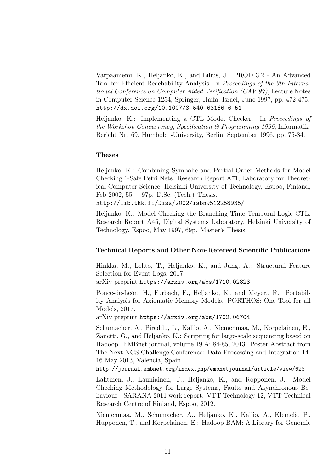Varpaaniemi, K., Heljanko, K., and Lilius, J.: PROD 3.2 - An Advanced Tool for Efficient Reachability Analysis. In Proceedings of the 9th International Conference on Computer Aided Verification (CAV'97), Lecture Notes in Computer Science 1254, Springer, Haifa, Israel, June 1997, pp. 472-475. http://dx.doi.org/10.1007/3-540-63166-6\_51

Heljanko, K.: Implementing a CTL Model Checker. In Proceedings of the Workshop Concurrency, Specification  $\mathcal B$  Programming 1996, Informatik-Bericht Nr. 69, Humboldt-University, Berlin, September 1996, pp. 75-84.

#### Theses

Heljanko, K.: Combining Symbolic and Partial Order Methods for Model Checking 1-Safe Petri Nets. Research Report A71, Laboratory for Theoretical Computer Science, Helsinki University of Technology, Espoo, Finland, Feb 2002,  $55 + 97p$ . D.Sc. (Tech.) Thesis.

http://lib.tkk.fi/Diss/2002/isbn9512258935/

Heljanko, K.: Model Checking the Branching Time Temporal Logic CTL. Research Report A45, Digital Systems Laboratory, Helsinki University of Technology, Espoo, May 1997, 69p. Master's Thesis.

#### Technical Reports and Other Non-Refereed Scientific Publications

Hinkka, M., Lehto, T., Heljanko, K., and Jung, A.: Structural Feature Selection for Event Logs, 2017.

arXiv preprint https://arxiv.org/abs/1710.02823

Ponce-de-León, H., Furbach, F., Heljanko, K., and Meyer., R.: Portability Analysis for Axiomatic Memory Models. PORTHOS: One Tool for all Models, 2017.

arXiv preprint https://arxiv.org/abs/1702.06704

Schumacher, A., Pireddu, L., Kallio, A., Niemenmaa, M., Korpelainen, E., Zanetti, G., and Heljanko, K.: Scripting for large-scale sequencing based on Hadoop. EMBnet.journal, volume 19.A: 84-85, 2013. Poster Abstract from The Next NGS Challenge Conference: Data Processing and Integration 14- 16 May 2013, Valencia, Spain.

http://journal.embnet.org/index.php/embnetjournal/article/view/628

Lahtinen, J., Launiainen, T., Heljanko, K., and Ropponen, J.: Model Checking Methodology for Large Systems, Faults and Asynchronous Behaviour - SARANA 2011 work report. VTT Technology 12, VTT Technical Research Centre of Finland, Espoo, 2012.

Niemenmaa, M., Schumacher, A., Heljanko, K., Kallio, A., Klemelä, P., Hupponen, T., and Korpelainen, E.: Hadoop-BAM: A Library for Genomic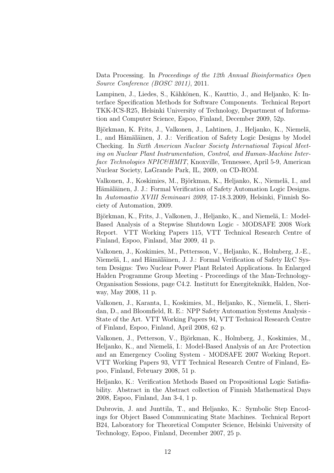Data Processing. In Proceedings of the 12th Annual Bioinformatics Open Source Conference (BOSC 2011), 2011.

Lampinen, J., Liedes, S., Kähkönen, K., Kauttio, J., and Heljanko, K: Interface Specification Methods for Software Components. Technical Report TKK-ICS-R25, Helsinki University of Technology, Department of Information and Computer Science, Espoo, Finland, December 2009, 52p.

Björkman, K. Frits, J., Valkonen, J., Lahtinen, J., Heljanko, K., Niemelä, I., and Hämäläinen, J. J.: Verification of Safety Logic Designs by Model Checking. In Sixth American Nuclear Society International Topical Meeting on Nuclear Plant Instrumentation, Control, and Human-Machine Interface Technologies NPIC&HMIT, Knoxville, Tennessee, April 5-9, American Nuclear Society, LaGrande Park, IL, 2009, on CD-ROM.

Valkonen, J., Koskimies, M., Björkman, K., Heljanko, K., Niemelä, I., and Hämäläinen, J. J.: Formal Verification of Safety Automation Logic Designs. In Automaatio XVIII Seminaari 2009, 17-18.3.2009, Helsinki, Finnish Society of Automation, 2009.

Björkman, K., Frits, J., Valkonen, J., Heljanko, K., and Niemelä, I.: Model-Based Analysis of a Stepwise Shutdown Logic - MODSAFE 2008 Work Report. VTT Working Papers 115, VTT Technical Research Centre of Finland, Espoo, Finland, Mar 2009, 41 p.

Valkonen, J., Koskimies, M., Pettersson, V., Heljanko, K., Holmberg, J.-E., Niemelä, I., and Hämäläinen, J. J.: Formal Verification of Safety I&C System Designs: Two Nuclear Power Plant Related Applications. In Enlarged Halden Programme Group Meeting - Proceedings of the Man-Technology-Organisation Sessions, page C4.2. Institutt for Energiteknikk, Halden, Norway, May 2008, 11 p.

Valkonen, J., Karanta, I., Koskimies, M., Heljanko, K., Niemelä, I., Sheridan, D., and Bloomfield, R. E.: NPP Safety Automation Systems Analysis - State of the Art. VTT Working Papers 94, VTT Technical Research Centre of Finland, Espoo, Finland, April 2008, 62 p.

Valkonen, J., Petterson, V., Björkman, K., Holmberg, J., Koskimies, M., Heljanko, K., and Niemelä, I.: Model-Based Analysis of an Arc Protection and an Emergency Cooling System - MODSAFE 2007 Working Report. VTT Working Papers 93, VTT Technical Research Centre of Finland, Espoo, Finland, February 2008, 51 p.

Heljanko, K.: Verification Methods Based on Propositional Logic Satisfiability. Abstract in the Abstract collection of Finnish Mathematical Days 2008, Espoo, Finland, Jan 3-4, 1 p.

Dubrovin, J. and Junttila, T., and Heljanko, K.: Symbolic Step Encodings for Object Based Communicating State Machines. Technical Report B24, Laboratory for Theoretical Computer Science, Helsinki University of Technology, Espoo, Finland, December 2007, 25 p.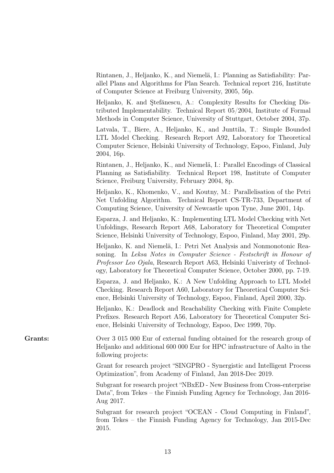| Rintanen, J., Heljanko, K., and Niemelä, I.: Planning as Satisfiability: Par- |
|-------------------------------------------------------------------------------|
| allel Plans and Algorithms for Plan Search. Technical report 216, Institute   |
| of Computer Science at Freiburg University, 2005, 56p.                        |

Heljanko, K. and Ştefănescu, A.: Complexity Results for Checking Distributed Implementability. Technical Report 05/2004, Institute of Formal Methods in Computer Science, University of Stuttgart, October 2004, 37p.

Latvala, T., Biere, A., Heljanko, K., and Junttila, T.: Simple Bounded LTL Model Checking. Research Report A92, Laboratory for Theoretical Computer Science, Helsinki University of Technology, Espoo, Finland, July 2004, 16p.

Rintanen, J., Heljanko, K., and Niemelä, I.: Parallel Encodings of Classical Planning as Satisfiability. Technical Report 198, Institute of Computer Science, Freiburg University, February 2004, 8p.

Heljanko, K., Khomenko, V., and Koutny, M.: Parallelisation of the Petri Net Unfolding Algorithm. Technical Report CS-TR-733, Department of Computing Science, University of Newcastle upon Tyne, June 2001, 14p.

Esparza, J. and Heljanko, K.: Implementing LTL Model Checking with Net Unfoldings, Research Report A68, Laboratory for Theoretical Computer Science, Helsinki University of Technology, Espoo, Finland, May 2001, 29p.

Heljanko, K. and Niemelä, I.: Petri Net Analysis and Nonmonotonic Reasoning. In Leksa Notes in Computer Science - Festschrift in Honour of Professor Leo Ojala, Research Report A63, Helsinki Univeristy of Technology, Laboratory for Theoretical Computer Science, October 2000, pp. 7-19.

Esparza, J. and Heljanko, K.: A New Unfolding Approach to LTL Model Checking. Research Report A60, Laboratory for Theoretical Computer Science, Helsinki University of Technology, Espoo, Finland, April 2000, 32p.

Heljanko, K.: Deadlock and Reachability Checking with Finite Complete Prefixes. Research Report A56, Laboratory for Theoretical Computer Science, Helsinki University of Technology, Espoo, Dec 1999, 70p.

Grants: Over 3 015 000 Eur of external funding obtained for the research group of Heljanko and additional 600 000 Eur for HPC infrastructure of Aalto in the following projects:

> Grant for research project "SINGPRO - Synergistic and Intelligent Process Optimization", from Academy of Finland, Jan 2018-Dec 2019.

> Subgrant for research project "NBxED - New Business from Cross-enterprise Data", from Tekes – the Finnish Funding Agency for Technology, Jan 2016- Aug 2017.

> Subgrant for research project "OCEAN - Cloud Computing in Finland", from Tekes – the Finnish Funding Agency for Technology, Jan 2015-Dec 2015.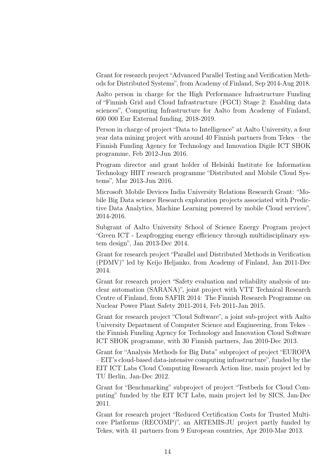Grant for research project "Advanced Parallel Testing and Verification Methods for Distributed Systems", from Academy of Finland, Sep 2014-Aug 2018.

Aalto person in charge for the High Performance Infrastructure Funding of "Finnish Grid and Cloud Infrastructure (FGCI) Stage 2: Enabling data sciences", Computing Infrastructure for Aalto from Academy of Finland, 600 000 Eur External funding, 2018-2019.

Person in charge of project "Data to Intelligence" at Aalto University, a four year data mining project with around 40 Finnish partners from Tekes – the Finnish Funding Agency for Technology and Innovation Digile ICT SHOK programme, Feb 2012-Jun 2016.

Program director and grant holder of Helsinki Institute for Information Technology HIIT research programme "Distributed and Mobile Cloud Systems", Mar 2013-Jun 2016.

Microsoft Mobile Devices India University Relations Research Grant: "Mobile Big Data science Research exploration projects associated with Predictive Data Analytics, Machine Learning powered by mobile Cloud services", 2014-2016.

Subgrant of Aalto University School of Science Energy Program project "Green ICT - Leapfrogging energy efficiency through multidisciplinary system design", Jan 2013-Dec 2014.

Grant for research project "Parallel and Distributed Methods in Verification (PDMV)" led by Keijo Heljanko, from Academy of Finland, Jan 2011-Dec 2014.

Grant for research project "Safety evaluation and reliability analysis of nuclear automation (SARANA)", joint project with VTT Technical Research Centre of Finland, from SAFIR 2014: The Finnish Research Programme on Nuclear Power Plant Safety 2011-2014, Feb 2011-Jan 2015.

Grant for research project "Cloud Software", a joint sub-project with Aalto University Department of Computer Science and Engineering, from Tekes – the Finnish Funding Agency for Technology and Innovation Cloud Software ICT SHOK programme, with 30 Finnish partners, Jan 2010-Dec 2013.

Grant for "Analysis Methods for Big Data" subproject of project "EUROPA – EIT's cloud-based data-intensive computing infrastructure", funded by the EIT ICT Labs Cloud Computing Research Action line, main project led by TU Berlin, Jan-Dec 2012.

Grant for "Benchmarking" subproject of project "Testbeds for Cloud Computing" funded by the EIT ICT Labs, main project led by SICS, Jan-Dec 2011.

Grant for research project "Reduced Certification Costs for Trusted Multicore Platforms (RECOMP)", an ARTEMIS-JU project partly funded by Tekes, with 41 partners from 9 European countries, Apr 2010-Mar 2013.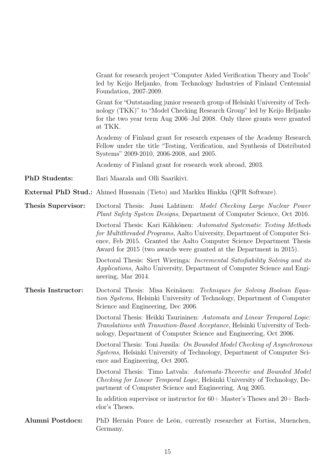|                    | Grant for research project "Computer Aided Verification Theory and Tools"<br>led by Keijo Heljanko, from Technology Industries of Finland Centennial<br>Foundation, 2007-2009.                                                                                                                   |
|--------------------|--------------------------------------------------------------------------------------------------------------------------------------------------------------------------------------------------------------------------------------------------------------------------------------------------|
|                    | Grant for "Outstanding junior research group of Helsinki University of Tech-<br>nology (TKK)" to "Model Checking Research Group" led by Keijo Heljanko<br>for the two year term Aug 2006–Jul 2008. Only three grants were granted<br>at TKK.                                                     |
|                    | Academy of Finland grant for research expenses of the Academy Research<br>Fellow under the title "Testing, Verification, and Synthesis of Distributed<br>Systems" 2009-2010, 2006-2008, and 2005.                                                                                                |
|                    | Academy of Finland grant for research work abroad, 2003.                                                                                                                                                                                                                                         |
| PhD Students:      | Ilari Maarala and Olli Saarikivi.                                                                                                                                                                                                                                                                |
|                    | <b>External PhD Stud.:</b> Ahmed Hussnain (Tieto) and Markku Hinkka (QPR Software).                                                                                                                                                                                                              |
| Thesis Supervisor: | Doctoral Thesis: Jussi Lahtinen: <i>Model Checking Large Nuclear Power</i><br>Plant Safety System Designs, Department of Computer Science, Oct 2016.                                                                                                                                             |
|                    | Doctoral Thesis: Kari Kähkönen: Automated Systematic Testing Methods<br>for Multithreaded Programs, Aalto University, Department of Computer Sci-<br>ence, Feb 2015. Granted the Aalto Computer Science Department Thesis<br>Award for 2015 (two awards were granted at the Department in 2015). |
|                    | Doctoral Thesis: Siert Wieringa: <i>Incremental Satisfiability Solving and its</i><br><i>Applications</i> , Aalto University, Department of Computer Science and Engi-<br>neering, Mar 2014.                                                                                                     |
| Thesis Instructor: | Doctoral Thesis: Misa Keinänen: Techniques for Solving Boolean Equa-<br>tion Systems, Helsinki University of Technology, Department of Computer<br>Science and Engineering, Dec 2006.                                                                                                            |
|                    | Doctoral Thesis: Heikki Tauriainen: Automata and Linear Temporal Logic:<br><i>Translations with Transition-Based Acceptance</i> , Helsinki University of Tech-<br>nology, Department of Computer Science and Engineering, Oct 2006.                                                              |
|                    | Doctoral Thesis: Toni Jussila: On Bounded Model Checking of Asynchronous<br>Systems, Helsinki University of Technology, Department of Computer Sci-<br>ence and Engineering, Oct 2005.                                                                                                           |
|                    | Doctoral Thesis: Timo Latvala: Automata-Theoretic and Bounded Model<br><i>Checking for Linear Temporal Logic</i> , Helsinki University of Technology, De-<br>partment of Computer Science and Engineering, Aug 2005.                                                                             |
|                    | In addition supervisor or instructor for $60+$ Master's Theses and $20+$ Bach-<br>elor's Theses.                                                                                                                                                                                                 |
| Alumni Postdocs:   | PhD Hernán Ponce de León, currently researcher at Fortiss, Muenchen,<br>Germany.                                                                                                                                                                                                                 |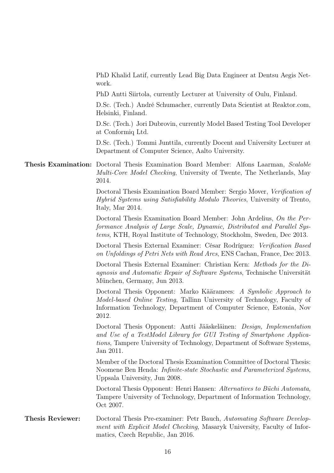PhD Khalid Latif, currently Lead Big Data Engineer at Dentsu Aegis Network.

PhD Antti Siirtola, currently Lecturer at University of Oulu, Finland.

D.Sc. (Tech.) André Schumacher, currently Data Scientist at Reaktor.com, Helsinki, Finland.

D.Sc. (Tech.) Jori Dubrovin, currently Model Based Testing Tool Developer at Conformiq Ltd.

D.Sc. (Tech.) Tommi Junttila, currently Docent and University Lecturer at Department of Computer Science, Aalto University.

## Thesis Examination: Doctoral Thesis Examination Board Member: Alfons Laarman, Scalable Multi-Core Model Checking, University of Twente, The Netherlands, May 2014.

Doctoral Thesis Examination Board Member: Sergio Mover, Verification of Hybrid Systems using Satisfiability Modulo Theories, University of Trento, Italy, Mar 2014.

Doctoral Thesis Examination Board Member: John Ardelius, On the Performance Analysis of Large Scale, Dynamic, Distributed and Parallel Systems, KTH, Royal Institute of Technology, Stockholm, Sweden, Dec 2013.

Doctoral Thesis External Examiner: César Rodríguez: Verification Based on Unfoldings of Petri Nets with Read Arcs, ENS Cachan, France, Dec 2013.

Doctoral Thesis External Examiner: Christian Kern: Methods for the Diagnosis and Automatic Repair of Software Systems, Technische Universität München, Germany, Jun 2013.

Doctoral Thesis Opponent: Marko Kääramees: A Symbolic Approach to Model-based Online Testing, Tallinn University of Technology, Faculty of Information Technology, Department of Computer Science, Estonia, Nov 2012.

Doctoral Thesis Opponent: Antti Jääskeläinen: Design, Implementation and Use of a TestModel Library for GUI Testing of Smartphone Applications, Tampere University of Technology, Department of Software Systems, Jan 2011.

Member of the Doctoral Thesis Examination Committee of Doctoral Thesis: Noomene Ben Henda: Infinite-state Stochastic and Parameterized Systems, Uppsala University, Jun 2008.

Doctoral Thesis Opponent: Henri Hansen: Alternatives to Büchi Automata, Tampere University of Technology, Department of Information Technology, Oct 2007.

## Thesis Reviewer: Doctoral Thesis Pre-examiner: Petr Bauch, Automating Software Development with Explicit Model Checking, Masaryk University, Faculty of Informatics, Czech Republic, Jan 2016.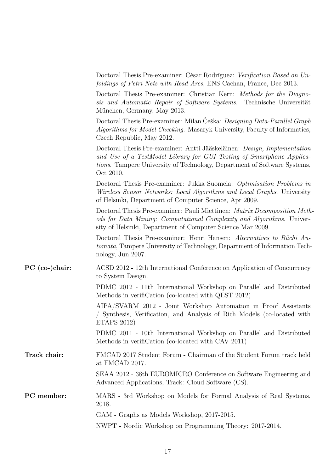|                  | Doctoral Thesis Pre-examiner: César Rodríguez: Verification Based on Un-<br>foldings of Petri Nets with Read Arcs, ENS Cachan, France, Dec 2013.                                                                                           |
|------------------|--------------------------------------------------------------------------------------------------------------------------------------------------------------------------------------------------------------------------------------------|
|                  | Doctoral Thesis Pre-examiner: Christian Kern: Methods for the Diagno-<br>sis and Automatic Repair of Software Systems. Technische Universität<br>München, Germany, May 2013.                                                               |
|                  | Doctoral Thesis Pre-examiner: Milan Ceška: Designing Data-Parallel Graph<br><i>Algorithms for Model Checking.</i> Masaryk University, Faculty of Informatics,<br>Czech Republic, May 2012.                                                 |
|                  | Doctoral Thesis Pre-examiner: Antti Jääskeläinen: Design, Implementation<br>and Use of a TestModel Library for GUI Testing of Smartphone Applica-<br>tions. Tampere University of Technology, Department of Software Systems,<br>Oct 2010. |
|                  | Doctoral Thesis Pre-examiner: Jukka Suomela: Optimisation Problems in<br>Wireless Sensor Networks: Local Algorithms and Local Graphs. University<br>of Helsinki, Department of Computer Science, Apr 2009.                                 |
|                  | Doctoral Thesis Pre-examiner: Pauli Miettinen: Matrix Decomposition Meth-<br>ods for Data Mining: Computational Complexity and Algorithms. Univer-<br>sity of Helsinki, Department of Computer Science Mar 2009.                           |
|                  | Doctoral Thesis Pre-examiner: Henri Hansen: Alternatives to Büchi Au-<br><i>tomata</i> , Tampere University of Technology, Department of Information Tech-<br>nology, Jun 2007.                                                            |
| $PC$ (co-)chair: | ACSD 2012 - 12th International Conference on Application of Concurrency<br>to System Design.                                                                                                                                               |
|                  | PDMC 2012 - 11th International Workshop on Parallel and Distributed<br>Methods in verification (co-located with QEST 2012)                                                                                                                 |
|                  | AIPA/SVARM 2012 - Joint Workshop Automation in Proof Assistants<br>Synthesis, Verification, and Analysis of Rich Models (co-located with<br>ETAPS 2012)                                                                                    |
|                  | PDMC 2011 - 10th International Workshop on Parallel and Distributed<br>Methods in verification (co-located with CAV 2011)                                                                                                                  |
| Track chair:     | FMCAD 2017 Student Forum - Chairman of the Student Forum track held<br>at FMCAD 2017.                                                                                                                                                      |
|                  | SEAA 2012 - 38th EUROMICRO Conference on Software Engineering and<br>Advanced Applications, Track: Cloud Software (CS).                                                                                                                    |
| PC member:       | MARS - 3rd Workshop on Models for Formal Analysis of Real Systems,<br>2018.                                                                                                                                                                |
|                  | GAM - Graphs as Models Workshop, 2017-2015.                                                                                                                                                                                                |
|                  | NWPT - Nordic Workshop on Programming Theory: 2017-2014.                                                                                                                                                                                   |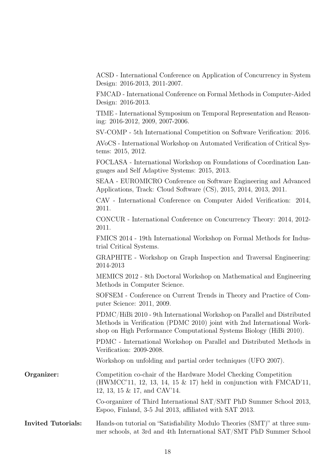ACSD - International Conference on Application of Concurrency in System Design: 2016-2013, 2011-2007.

FMCAD - International Conference on Formal Methods in Computer-Aided Design: 2016-2013.

TIME - International Symposium on Temporal Representation and Reasoning: 2016-2012, 2009, 2007-2006.

SV-COMP - 5th International Competition on Software Verification: 2016.

AVoCS - International Workshop on Automated Verification of Critical Systems: 2015, 2012.

FOCLASA - International Workshop on Foundations of Coordination Languages and Self Adaptive Systems: 2015, 2013.

SEAA - EUROMICRO Conference on Software Engineering and Advanced Applications, Track: Cloud Software (CS), 2015, 2014, 2013, 2011.

CAV - International Conference on Computer Aided Verification: 2014, 2011.

CONCUR - International Conference on Concurrency Theory: 2014, 2012- 2011.

FMICS 2014 - 19th International Workshop on Formal Methods for Industrial Critical Systems.

GRAPHITE - Workshop on Graph Inspection and Traversal Engineering: 2014-2013

MEMICS 2012 - 8th Doctoral Workshop on Mathematical and Engineering Methods in Computer Science.

SOFSEM - Conference on Current Trends in Theory and Practice of Computer Science: 2011, 2009.

PDMC/HiBi 2010 - 9th International Workshop on Parallel and Distributed Methods in Verification (PDMC 2010) joint with 2nd International Workshop on High Performance Computational Systems Biology (HiBi 2010).

PDMC - International Workshop on Parallel and Distributed Methods in Verification: 2009-2008.

Workshop on unfolding and partial order techniques (UFO 2007).

**Organizer:** Competition co-chair of the Hardware Model Checking Competition (HWMCC'11, 12, 13, 14, 15 & 17) held in conjunction with FMCAD'11, 12, 13, 15 & 17, and CAV'14.

> Co-organizer of Third International SAT/SMT PhD Summer School 2013, Espoo, Finland, 3-5 Jul 2013, affiliated with SAT 2013.

Invited Tutorials: Hands-on tutorial on "Satisfiability Modulo Theories (SMT)" at three summer schools, at 3rd and 4th International SAT/SMT PhD Summer School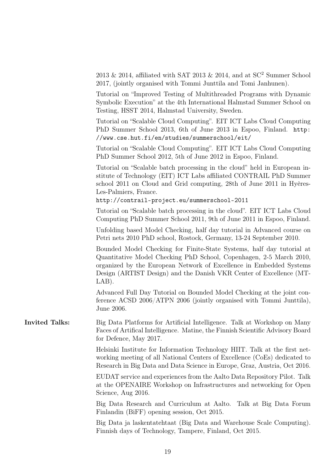|                       | 2013 & 2014, affiliated with SAT 2013 & 2014, and at $SC^2$ Summer School<br>2017, (jointly organised with Tommi Junttila and Tomi Janhunen).                                                                                                                                                          |
|-----------------------|--------------------------------------------------------------------------------------------------------------------------------------------------------------------------------------------------------------------------------------------------------------------------------------------------------|
|                       | Tutorial on "Improved Testing of Multithreaded Programs with Dynamic<br>Symbolic Execution" at the 4th International Halmstad Summer School on<br>Testing, HSST 2014, Halmstad University, Sweden.                                                                                                     |
|                       | Tutorial on "Scalable Cloud Computing". EIT ICT Labs Cloud Computing<br>PhD Summer School 2013, 6th of June 2013 in Espoo, Finland. http:<br>//www.cse.hut.fi/en/studies/summerschool/eit/                                                                                                             |
|                       | Tutorial on "Scalable Cloud Computing". EIT ICT Labs Cloud Computing<br>PhD Summer School 2012, 5th of June 2012 in Espoo, Finland.                                                                                                                                                                    |
|                       | Tutorial on "Scalable batch processing in the cloud" held in European in-<br>stitute of Technology (EIT) ICT Labs affiliated CONTRAIL PhD Summer<br>school 2011 on Cloud and Grid computing, 28th of June 2011 in Hyères-<br>Les-Palmiers, France.<br>http://contrail-project.eu/summerschool-2011     |
|                       | Tutorial on "Scalable batch processing in the cloud". EIT ICT Labs Cloud                                                                                                                                                                                                                               |
|                       | Computing PhD Summer School 2011, 9th of June 2011 in Espoo, Finland.                                                                                                                                                                                                                                  |
|                       | Unfolding based Model Checking, half day tutorial in Advanced course on<br>Petri nets 2010 PhD school, Rostock, Germany, 13-24 September 2010.                                                                                                                                                         |
|                       | Bounded Model Checking for Finite-State Systems, half day tutorial at<br>Quantitative Model Checking PhD School, Copenhagen, 2-5 March 2010,<br>organized by the European Network of Excellence in Embedded Systems<br>Design (ARTIST Design) and the Danish VKR Center of Excellence (MT-<br>$LAB$ ). |
|                       | Advanced Full Day Tutorial on Bounded Model Checking at the joint con-<br>ference ACSD 2006/ATPN 2006 (jointly organised with Tommi Junttila),<br>June 2006.                                                                                                                                           |
| <b>Invited Talks:</b> | Big Data Platforms for Artificial Intelligence. Talk at Workshop on Many<br>Faces of Artifical Intelligence. Matine, the Finnish Scientific Advisory Board<br>for Defence, May 2017.                                                                                                                   |
|                       | Helsinki Institute for Information Technology HIIT. Talk at the first net-<br>working meeting of all National Centers of Excellence (CoEs) dedicated to<br>Research in Big Data and Data Science in Europe, Graz, Austria, Oct 2016.                                                                   |
|                       | EUDAT service and experiences from the Aalto Data Repository Pilot. Talk<br>at the OPENAIRE Workshop on Infrastructures and networking for Open<br>Science, Aug 2016.                                                                                                                                  |
|                       | Big Data Research and Curriculum at Aalto. Talk at Big Data Forum<br>Finlandin (BiFF) opening session, Oct 2015.                                                                                                                                                                                       |
|                       | Big Data ja laskentatehtaat (Big Data and Warehouse Scale Computing).<br>Finnish days of Technology, Tampere, Finland, Oct 2015.                                                                                                                                                                       |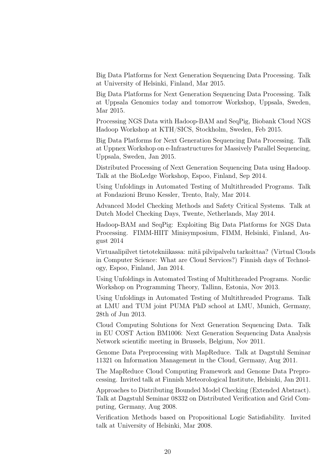Big Data Platforms for Next Generation Sequencing Data Processing. Talk at University of Helsinki, Finland, Mar 2015.

Big Data Platforms for Next Generation Sequencing Data Processing. Talk at Uppsala Genomics today and tomorrow Workshop, Uppsala, Sweden, Mar 2015.

Processing NGS Data with Hadoop-BAM and SeqPig, Biobank Cloud NGS Hadoop Workshop at KTH/SICS, Stockholm, Sweden, Feb 2015.

Big Data Platforms for Next Generation Sequencing Data Processing. Talk at Uppnex Workshop on e-Infrastructures for Massively Parallel Sequencing, Uppsala, Sweden, Jan 2015.

Distributed Processing of Next Generation Sequencing Data using Hadoop. Talk at the BioLedge Workshop, Espoo, Finland, Sep 2014.

Using Unfoldings in Automated Testing of Multithreaded Programs. Talk at Fondazioni Bruno Kessler, Trento, Italy, Mar 2014.

Advanced Model Checking Methods and Safety Critical Systems. Talk at Dutch Model Checking Days, Twente, Netherlands, May 2014.

Hadoop-BAM and SeqPig: Exploiting Big Data Platforms for NGS Data Processing. FIMM-HIIT Minisymposium, FIMM, Helsinki, Finland, August 2014

Virtuaalipilvet tietotekniikassa: mitä pilvipalvelu tarkoittaa? (Virtual Clouds in Computer Science: What are Cloud Services?) Finnish days of Technology, Espoo, Finland, Jan 2014.

Using Unfoldings in Automated Testing of Multithreaded Programs. Nordic Workshop on Programming Theory, Tallinn, Estonia, Nov 2013.

Using Unfoldings in Automated Testing of Multithreaded Programs. Talk at LMU and TUM joint PUMA PhD school at LMU, Munich, Germany, 28th of Jun 2013.

Cloud Computing Solutions for Next Generation Sequencing Data. Talk in EU COST Action BM1006: Next Generation Sequencing Data Analysis Network scientific meeting in Brussels, Belgium, Nov 2011.

Genome Data Preprocessing with MapReduce. Talk at Dagstuhl Seminar 11321 on Information Management in the Cloud, Germany, Aug 2011.

The MapReduce Cloud Computing Framework and Genome Data Preprocessing. Invited talk at Finnish Meteorological Institute, Helsinki, Jan 2011.

Approaches to Distributing Bounded Model Checking (Extended Abstract). Talk at Dagstuhl Seminar 08332 on Distributed Verification and Grid Computing, Germany, Aug 2008.

Verification Methods based on Propositional Logic Satisfiability. Invited talk at University of Helsinki, Mar 2008.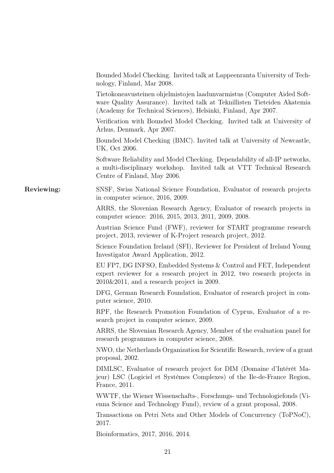|            | Bounded Model Checking. Invited talk at Lappeenranta University of Tech-<br>nology, Finland, Mar 2008.                                                                                                                |
|------------|-----------------------------------------------------------------------------------------------------------------------------------------------------------------------------------------------------------------------|
|            | Tietokoneavusteinen ohjelmistojen laadunvarmistus (Computer Aided Soft-<br>ware Quality Assurance). Invited talk at Teknillisten Tieteiden Akatemia<br>(Academy for Technical Sciences), Helsinki, Finland, Apr 2007. |
|            | Verification with Bounded Model Checking. Invited talk at University of<br>Arhus, Denmark, Apr 2007.                                                                                                                  |
|            | Bounded Model Checking (BMC). Invited talk at University of Newcastle,<br>UK, Oct 2006.                                                                                                                               |
|            | Software Reliability and Model Checking. Dependability of all-IP networks,<br>a multi-disciplinary workshop. Invited talk at VTT Technical Research<br>Centre of Finland, May 2006.                                   |
| Reviewing: | SNSF, Swiss National Science Foundation, Evaluator of research projects<br>in computer science, 2016, 2009.                                                                                                           |
|            | ARRS, the Slovenian Research Agency, Evaluator of research projects in<br>computer science: 2016, 2015, 2013, 2011, 2009, 2008.                                                                                       |
|            | Austrian Science Fund (FWF), reviewer for START programme research<br>project, 2013, reviewer of K-Project research project, 2012.                                                                                    |
|            | Science Foundation Ireland (SFI), Reviewer for President of Ireland Young<br>Investigator Award Application, 2012.                                                                                                    |
|            | EU FP7, DG INFSO, Embedded Systems & Control and FET, Independent<br>expert reviewer for a research project in 2012, two research projects in<br>$2010\&2011$ , and a research project in 2009.                       |
|            | DFG, German Research Foundation, Evaluator of research project in com-<br>puter science, 2010.                                                                                                                        |
|            | RPF, the Research Promotion Foundation of Cyprus, Evaluator of a re-<br>search project in computer science, 2009.                                                                                                     |
|            | ARRS, the Slovenian Research Agency, Member of the evaluation panel for<br>research programmes in computer science, 2008.                                                                                             |
|            | NWO, the Netherlands Organization for Scientific Research, review of a grant<br>proposal, 2002.                                                                                                                       |
|            | DIMLSC, Evaluator of research project for DIM (Domaine d'Intérêt Ma-<br>jeur) LSC (Logiciel et Systèmes Complexes) of the Ile-de-France Region,<br>France, 2011.                                                      |
|            | WWTF, the Wiener Wissenschafts-, Forschungs- und Technologiefonds (Vi-<br>enna Science and Technology Fund), review of a grant proposal, 2008.                                                                        |
|            | Transactions on Petri Nets and Other Models of Concurrency (ToPNoC),<br>2017.                                                                                                                                         |
|            | Bioinformatics, 2017, 2016, 2014.                                                                                                                                                                                     |
|            | 21                                                                                                                                                                                                                    |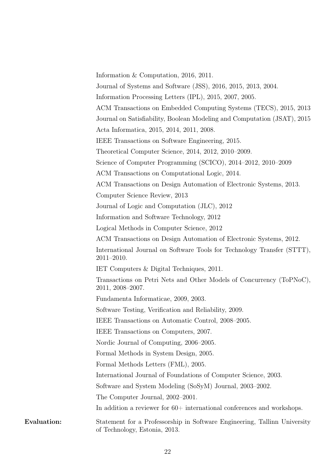|             | Information & Computation, 2016, 2011.                                                                     |
|-------------|------------------------------------------------------------------------------------------------------------|
|             | Journal of Systems and Software (JSS), 2016, 2015, 2013, 2004.                                             |
|             | Information Processing Letters (IPL), 2015, 2007, 2005.                                                    |
|             | ACM Transactions on Embedded Computing Systems (TECS), 2015, 2013                                          |
|             | Journal on Satisfiability, Boolean Modeling and Computation (JSAT), 2015                                   |
|             | Acta Informatica, 2015, 2014, 2011, 2008.                                                                  |
|             | IEEE Transactions on Software Engineering, 2015.                                                           |
|             | Theoretical Computer Science, 2014, 2012, 2010–2009.                                                       |
|             | Science of Computer Programming (SCICO), 2014-2012, 2010-2009                                              |
|             | ACM Transactions on Computational Logic, 2014.                                                             |
|             | ACM Transactions on Design Automation of Electronic Systems, 2013.                                         |
|             | Computer Science Review, 2013                                                                              |
|             | Journal of Logic and Computation (JLC), 2012                                                               |
|             | Information and Software Technology, 2012                                                                  |
|             | Logical Methods in Computer Science, 2012                                                                  |
|             | ACM Transactions on Design Automation of Electronic Systems, 2012.                                         |
|             | International Journal on Software Tools for Technology Transfer (STTT),<br>$2011 - 2010.$                  |
|             | IET Computers & Digital Techniques, 2011.                                                                  |
|             | Transactions on Petri Nets and Other Models of Concurrency (ToPNoC),<br>$2011, 2008 - 2007.$               |
|             | Fundamenta Informaticae, 2009, 2003.                                                                       |
|             | Software Testing, Verification and Reliability, 2009.                                                      |
|             | IEEE Transactions on Automatic Control, 2008–2005.                                                         |
|             | IEEE Transactions on Computers, 2007.                                                                      |
|             | Nordic Journal of Computing, 2006–2005.                                                                    |
|             | Formal Methods in System Design, 2005.                                                                     |
|             | Formal Methods Letters (FML), 2005.                                                                        |
|             | International Journal of Foundations of Computer Science, 2003.                                            |
|             | Software and System Modeling (SoSyM) Journal, 2003–2002.                                                   |
|             | The Computer Journal, 2002-2001.                                                                           |
|             | In addition a reviewer for $60+$ international conferences and workshops.                                  |
| Evaluation: | Statement for a Professorship in Software Engineering, Tallinn University<br>of Technology, Estonia, 2013. |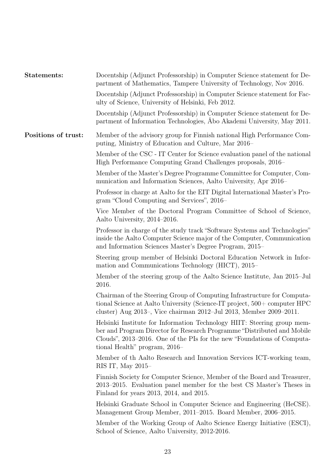| Statements:         | Docentship (Adjunct Professorship) in Computer Science statement for De-<br>partment of Mathematics, Tampere University of Technology, Nov 2016.                                                                                                                |
|---------------------|-----------------------------------------------------------------------------------------------------------------------------------------------------------------------------------------------------------------------------------------------------------------|
|                     | Docentship (Adjunct Professorship) in Computer Science statement for Fac-<br>ulty of Science, University of Helsinki, Feb 2012.                                                                                                                                 |
|                     | Docentship (Adjunct Professorship) in Computer Science statement for De-<br>partment of Information Technologies, Abo Akademi University, May 2011.                                                                                                             |
| Positions of trust: | Member of the advisory group for Finnish national High Performance Com-<br>puting, Ministry of Education and Culture, Mar 2016–                                                                                                                                 |
|                     | Member of the CSC - IT Center for Science evaluation panel of the national<br>High Performance Computing Grand Challenges proposals, 2016–                                                                                                                      |
|                     | Member of the Master's Degree Programme Committee for Computer, Com-<br>munication and Information Sciences, Aalto University, Apr 2016–                                                                                                                        |
|                     | Professor in charge at Aalto for the EIT Digital International Master's Pro-<br>gram "Cloud Computing and Services", 2016–                                                                                                                                      |
|                     | Vice Member of the Doctoral Program Committee of School of Science,<br>Aalto University, 2014–2016.                                                                                                                                                             |
|                     | Professor in charge of the study track "Software Systems and Technologies"<br>inside the Aalto Computer Science major of the Computer, Communication<br>and Information Sciences Master's Degree Program, 2015–                                                 |
|                     | Steering group member of Helsinki Doctoral Education Network in Infor-<br>mation and Communications Technology (HICT), 2015–                                                                                                                                    |
|                     | Member of the steering group of the Aalto Science Institute, Jan 2015-Jul<br>2016.                                                                                                                                                                              |
|                     | Chairman of the Steering Group of Computing Infrastructure for Computa-<br>tional Science at Aalto University (Science-IT project, 500+ computer HPC<br>cluster) Aug 2013-, Vice chairman 2012-Jul 2013, Member 2009-2011.                                      |
|                     | Helsinki Institute for Information Technology HIIT: Steering group mem-<br>ber and Program Director for Research Programme "Distributed and Mobile"<br>Clouds", 2013–2016. One of the PIs for the new "Foundations of Computa-<br>tional Health" program, 2016– |
|                     | Member of th Aalto Research and Innovation Services ICT-working team,<br>RIS IT, May $2015-$                                                                                                                                                                    |
|                     | Finnish Society for Computer Science, Member of the Board and Treasurer,<br>2013-2015. Evaluation panel member for the best CS Master's Theses in<br>Finland for years 2013, 2014, and 2015.                                                                    |
|                     | Helsinki Graduate School in Computer Science and Engineering (HeCSE).<br>Management Group Member, 2011–2015. Board Member, 2006–2015.                                                                                                                           |
|                     | Member of the Working Group of Aalto Science Energy Initiative (ESCI),<br>School of Science, Aalto University, 2012-2016.                                                                                                                                       |
|                     |                                                                                                                                                                                                                                                                 |